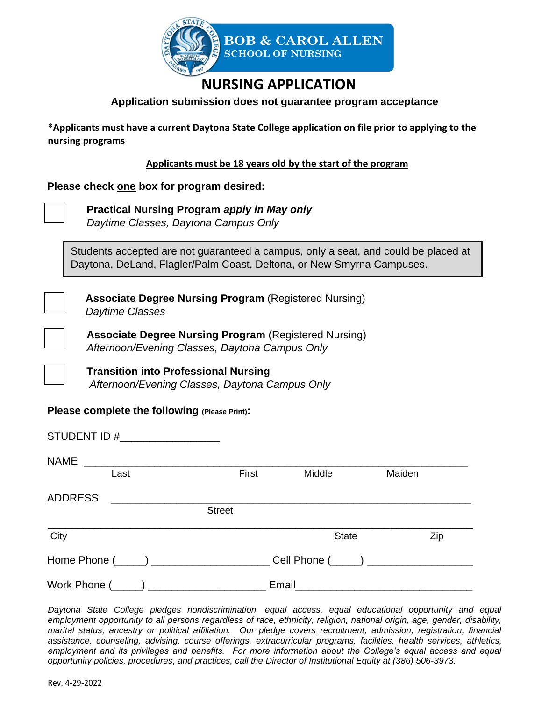

## **NURSING APPLICATION**

## **Application submission does not guarantee program acceptance**

**\*Applicants must have a current Daytona State College application on file prior to applying to the nursing programs** 

**Applicants must be 18 years old by the start of the program**

**Please check one box for program desired:** 

 **Practical Nursing Program** *apply in May only Daytime Classes, Daytona Campus Only*

Students accepted are not guaranteed a campus, only a seat, and could be placed at Daytona, DeLand, Flagler/Palm Coast, Deltona, or New Smyrna Campuses.

 **Associate Degree Nursing Program** (Registered Nursing) *Daytime Classes*

 **Associate Degree Nursing Program** (Registered Nursing) *Afternoon/Evening Classes, Daytona Campus Only*

 **Transition into Professional Nursing**   *Afternoon/Evening Classes, Daytona Campus Only*

## **Please complete the following (Please Print):**

STUDENT ID #

| <b>NAME</b>    | <u> 1980 - Jan Samuel Barbara, martin d</u> |               |                                       |        |  |  |  |  |  |
|----------------|---------------------------------------------|---------------|---------------------------------------|--------|--|--|--|--|--|
|                | Last                                        | First         | Middle                                | Maiden |  |  |  |  |  |
| <b>ADDRESS</b> |                                             |               |                                       |        |  |  |  |  |  |
|                |                                             | <b>Street</b> |                                       |        |  |  |  |  |  |
| City           |                                             |               | <b>State</b>                          | Zip    |  |  |  |  |  |
|                | Home Phone (_____) ___________________      |               | Cell Phone (_____) __________________ |        |  |  |  |  |  |
|                | Work Phone (_____) ________________         |               | Email                                 |        |  |  |  |  |  |

*Daytona State College pledges nondiscrimination, equal access, equal educational opportunity and equal employment opportunity to all persons regardless of race, ethnicity, religion, national origin, age, gender, disability, marital status, ancestry or political affiliation. Our pledge covers recruitment, admission, registration, financial assistance, counseling, advising, course offerings, extracurricular programs, facilities, health services, athletics, employment and its privileges and benefits. For more information about the College's equal access and equal opportunity policies, procedures, and practices, call the Director of Institutional Equity at (386) 506-3973.*